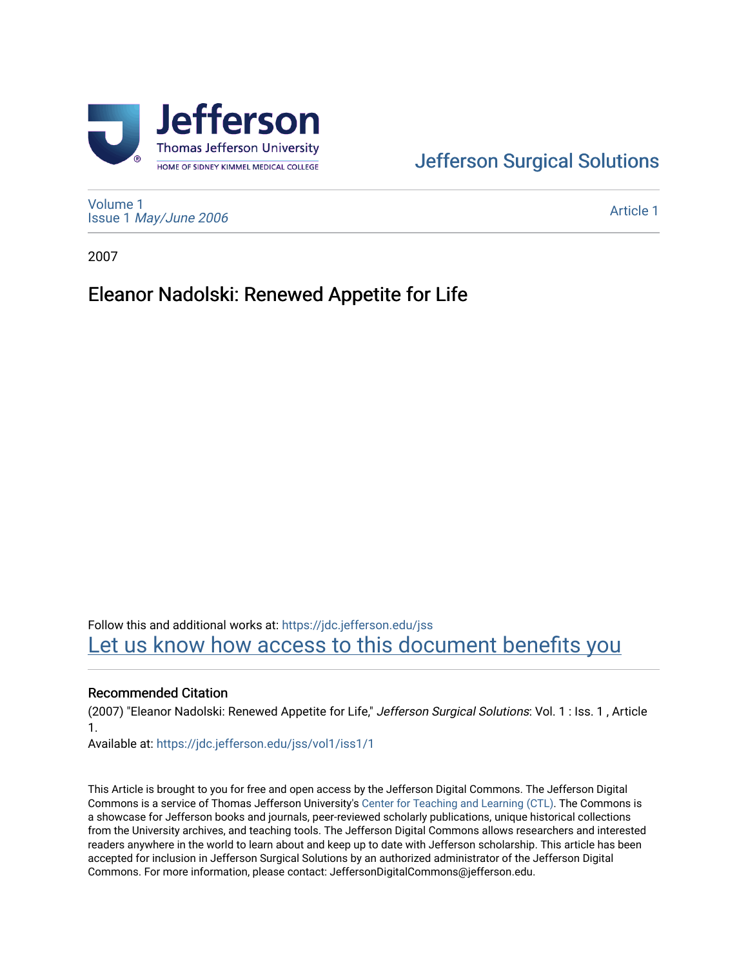

## [Jefferson Surgical Solutions](https://jdc.jefferson.edu/jss)

[Volume 1](https://jdc.jefferson.edu/jss/vol1) Issue 1 [May/June 2006](https://jdc.jefferson.edu/jss/vol1/iss1) 

[Article 1](https://jdc.jefferson.edu/jss/vol1/iss1/1) 

2007

## Eleanor Nadolski: Renewed Appetite for Life

Follow this and additional works at: [https://jdc.jefferson.edu/jss](https://jdc.jefferson.edu/jss?utm_source=jdc.jefferson.edu%2Fjss%2Fvol1%2Fiss1%2F1&utm_medium=PDF&utm_campaign=PDFCoverPages)  Let us know how access to this document benefits you

#### Recommended Citation

(2007) "Eleanor Nadolski: Renewed Appetite for Life," Jefferson Surgical Solutions: Vol. 1 : Iss. 1 , Article 1.

Available at: [https://jdc.jefferson.edu/jss/vol1/iss1/1](https://jdc.jefferson.edu/jss/vol1/iss1/1?utm_source=jdc.jefferson.edu%2Fjss%2Fvol1%2Fiss1%2F1&utm_medium=PDF&utm_campaign=PDFCoverPages) 

This Article is brought to you for free and open access by the Jefferson Digital Commons. The Jefferson Digital Commons is a service of Thomas Jefferson University's [Center for Teaching and Learning \(CTL\)](http://www.jefferson.edu/university/teaching-learning.html/). The Commons is a showcase for Jefferson books and journals, peer-reviewed scholarly publications, unique historical collections from the University archives, and teaching tools. The Jefferson Digital Commons allows researchers and interested readers anywhere in the world to learn about and keep up to date with Jefferson scholarship. This article has been accepted for inclusion in Jefferson Surgical Solutions by an authorized administrator of the Jefferson Digital Commons. For more information, please contact: JeffersonDigitalCommons@jefferson.edu.